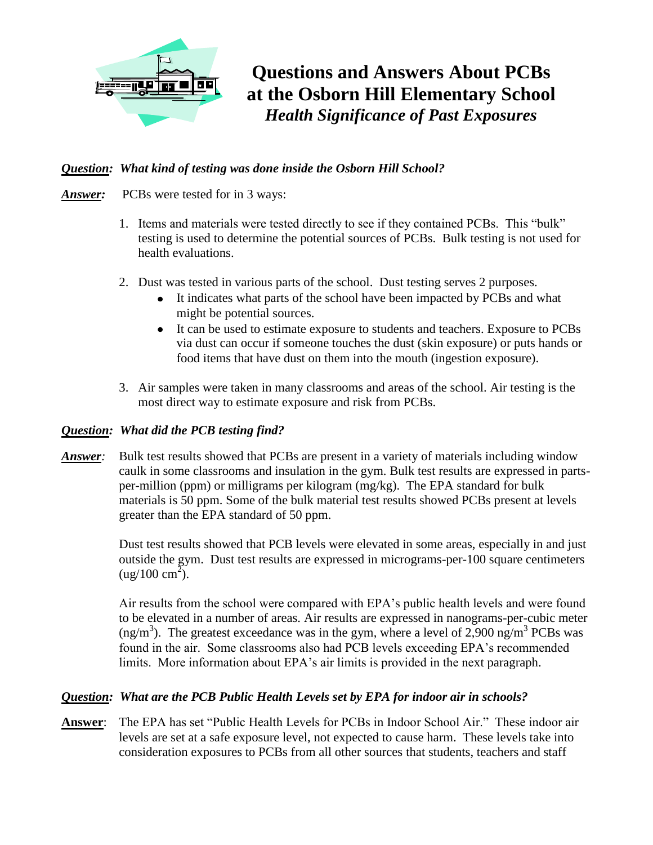

**Questions and Answers About PCBs at the Osborn Hill Elementary School** *Health Significance of Past Exposures*

# *Question: What kind of testing was done inside the Osborn Hill School?*

- *Answer:* PCBs were tested for in 3 ways:
	- 1. Items and materials were tested directly to see if they contained PCBs. This "bulk" testing is used to determine the potential sources of PCBs. Bulk testing is not used for health evaluations.
	- 2. Dust was tested in various parts of the school. Dust testing serves 2 purposes.
		- It indicates what parts of the school have been impacted by PCBs and what might be potential sources.
		- It can be used to estimate exposure to students and teachers. Exposure to PCBs via dust can occur if someone touches the dust (skin exposure) or puts hands or food items that have dust on them into the mouth (ingestion exposure).
	- 3. Air samples were taken in many classrooms and areas of the school. Air testing is the most direct way to estimate exposure and risk from PCBs.

# *Question: What did the PCB testing find?*

*Answer:* Bulk test results showed that PCBs are present in a variety of materials including window caulk in some classrooms and insulation in the gym. Bulk test results are expressed in partsper-million (ppm) or milligrams per kilogram (mg/kg). The EPA standard for bulk materials is 50 ppm. Some of the bulk material test results showed PCBs present at levels greater than the EPA standard of 50 ppm.

> Dust test results showed that PCB levels were elevated in some areas, especially in and just outside the gym. Dust test results are expressed in micrograms-per-100 square centimeters  $\mu$ g/100 cm<sup>2</sup>).

> Air results from the school were compared with EPA's public health levels and were found to be elevated in a number of areas. Air results are expressed in nanograms-per-cubic meter (ng/m<sup>3</sup>). The greatest exceedance was in the gym, where a level of 2,900 ng/m<sup>3</sup> PCBs was found in the air. Some classrooms also had PCB levels exceeding EPA's recommended limits. More information about EPA's air limits is provided in the next paragraph.

# *Question: What are the PCB Public Health Levels set by EPA for indoor air in schools?*

**Answer**: The EPA has set "Public Health Levels for PCBs in Indoor School Air." These indoor air levels are set at a safe exposure level, not expected to cause harm. These levels take into consideration exposures to PCBs from all other sources that students, teachers and staff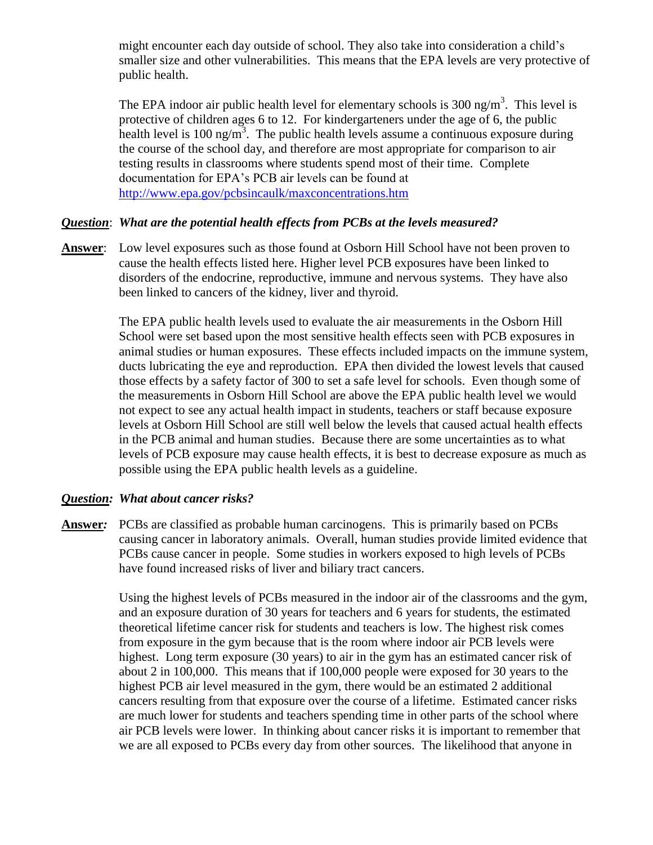might encounter each day outside of school. They also take into consideration a child's smaller size and other vulnerabilities. This means that the EPA levels are very protective of public health.

The EPA indoor air public health level for elementary schools is  $300 \text{ ng/m}^3$ . This level is protective of children ages 6 to 12. For kindergarteners under the age of 6, the public health level is 100 ng/m<sup>3</sup>. The public health levels assume a continuous exposure during the course of the school day, and therefore are most appropriate for comparison to air testing results in classrooms where students spend most of their time. Complete documentation for EPA's PCB air levels can be found at <http://www.epa.gov/pcbsincaulk/maxconcentrations.htm>

### *Question*: *What are the potential health effects from PCBs at the levels measured?*

**Answer**: Low level exposures such as those found at Osborn Hill School have not been proven to cause the health effects listed here. Higher level PCB exposures have been linked to disorders of the endocrine, reproductive, immune and nervous systems. They have also been linked to cancers of the kidney, liver and thyroid.

> The EPA public health levels used to evaluate the air measurements in the Osborn Hill School were set based upon the most sensitive health effects seen with PCB exposures in animal studies or human exposures. These effects included impacts on the immune system, ducts lubricating the eye and reproduction. EPA then divided the lowest levels that caused those effects by a safety factor of 300 to set a safe level for schools. Even though some of the measurements in Osborn Hill School are above the EPA public health level we would not expect to see any actual health impact in students, teachers or staff because exposure levels at Osborn Hill School are still well below the levels that caused actual health effects in the PCB animal and human studies. Because there are some uncertainties as to what levels of PCB exposure may cause health effects, it is best to decrease exposure as much as possible using the EPA public health levels as a guideline.

#### *Question: What about cancer risks?*

**Answer***:* PCBs are classified as probable human carcinogens. This is primarily based on PCBs causing cancer in laboratory animals. Overall, human studies provide limited evidence that PCBs cause cancer in people. Some studies in workers exposed to high levels of PCBs have found increased risks of liver and biliary tract cancers.

> Using the highest levels of PCBs measured in the indoor air of the classrooms and the gym, and an exposure duration of 30 years for teachers and 6 years for students, the estimated theoretical lifetime cancer risk for students and teachers is low. The highest risk comes from exposure in the gym because that is the room where indoor air PCB levels were highest. Long term exposure (30 years) to air in the gym has an estimated cancer risk of about 2 in 100,000. This means that if 100,000 people were exposed for 30 years to the highest PCB air level measured in the gym, there would be an estimated 2 additional cancers resulting from that exposure over the course of a lifetime. Estimated cancer risks are much lower for students and teachers spending time in other parts of the school where air PCB levels were lower. In thinking about cancer risks it is important to remember that we are all exposed to PCBs every day from other sources. The likelihood that anyone in